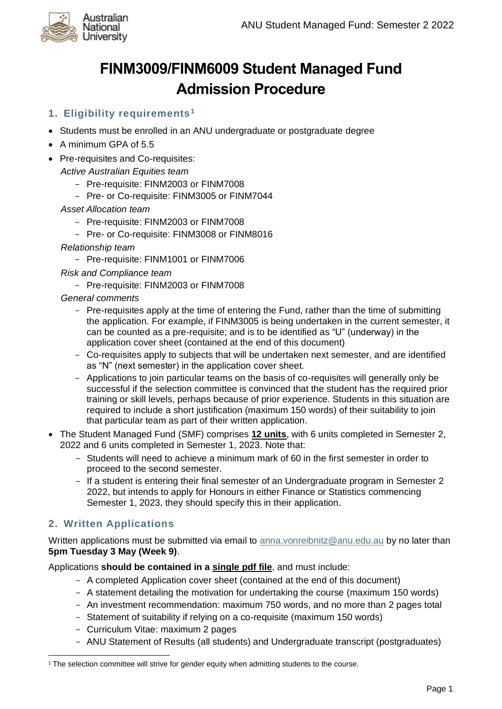

# **FINM3009/FINM6009 Student Managed Fund Admission Procedure**

# **1. Eligibility requirements<sup>1</sup>**

- Students must be enrolled in an ANU undergraduate or postgraduate degree
- A minimum GPA of 5.5
- Pre-requisites and Co-requisites:

*Active Australian Equities team*

- Pre-requisite: FINM2003 or FINM7008
- Pre- or Co-requisite: FINM3005 or FINM7044
- *Asset Allocation team*
	- Pre-requisite: FINM2003 or FINM7008
	- Pre- or Co-requisite: FINM3008 or FINM8016
- *Relationship team*
	- Pre-requisite: FINM1001 or FINM7006
- *Risk and Compliance team*
	- Pre-requisite: FINM2003 or FINM7008
- *General comments*
	- Pre-requisites apply at the time of entering the Fund, rather than the time of submitting the application. For example, if FINM3005 is being undertaken in the current semester, it can be counted as a pre-requisite; and is to be identified as "U" (underway) in the application cover sheet (contained at the end of this document)
	- Co-requisites apply to subjects that will be undertaken next semester, and are identified as "N" (next semester) in the application cover sheet.
	- Applications to join particular teams on the basis of co-requisites will generally only be successful if the selection committee is convinced that the student has the required prior training or skill levels, perhaps because of prior experience. Students in this situation are required to include a short justification (maximum 150 words) of their suitability to join that particular team as part of their written application.
- The Student Managed Fund (SMF) comprises **12 units**, with 6 units completed in Semester 2, 2022 and 6 units completed in Semester 1, 2023. Note that:
	- Students will need to achieve a minimum mark of 60 in the first semester in order to proceed to the second semester.
	- If a student is entering their final semester of an Undergraduate program in Semester 2 2022, but intends to apply for Honours in either Finance or Statistics commencing Semester 1, 2023, they should specify this in their application.

## **2. Written Applications**

Written applications must be submitted via email to [anna.vonreibnitz@anu.edu.au](mailto:anna.vonreibnitz@anu.edu.au) by no later than **5pm Tuesday 3 May (Week 9)**.

Applications **should be contained in a single pdf file**, and must include:

- A completed Application cover sheet (contained at the end of this document)
- A statement detailing the motivation for undertaking the course (maximum 150 words)
- An investment recommendation: maximum 750 words, and no more than 2 pages total
- Statement of suitability if relying on a co-requisite (maximum 150 words)
- Curriculum Vitae: maximum 2 pages
- ANU Statement of Results (all students) and Undergraduate transcript (postgraduates)

 $1$  The selection committee will strive for gender equity when admitting students to the course.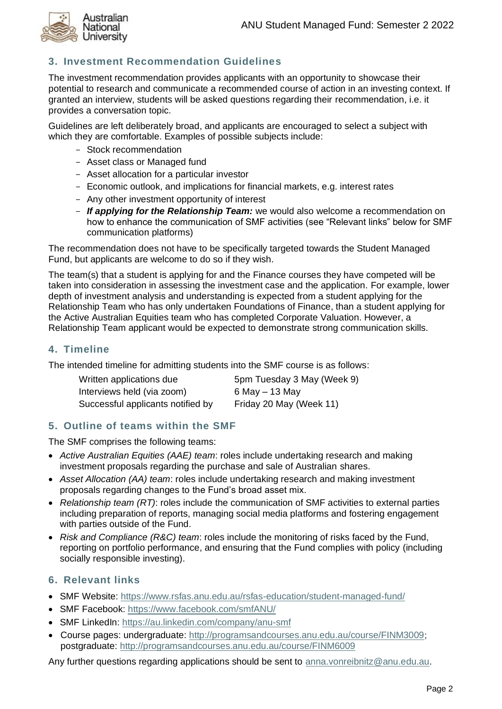

# **3. Investment Recommendation Guidelines**

The investment recommendation provides applicants with an opportunity to showcase their potential to research and communicate a recommended course of action in an investing context. If granted an interview, students will be asked questions regarding their recommendation, i.e. it provides a conversation topic.

Guidelines are left deliberately broad, and applicants are encouraged to select a subject with which they are comfortable. Examples of possible subjects include:

- Stock recommendation
- Asset class or Managed fund
- Asset allocation for a particular investor
- Economic outlook, and implications for financial markets, e.g. interest rates
- Any other investment opportunity of interest
- *If applying for the Relationship Team:* we would also welcome a recommendation on how to enhance the communication of SMF activities (see "Relevant links" below for SMF communication platforms)

The recommendation does not have to be specifically targeted towards the Student Managed Fund, but applicants are welcome to do so if they wish.

The team(s) that a student is applying for and the Finance courses they have competed will be taken into consideration in assessing the investment case and the application. For example, lower depth of investment analysis and understanding is expected from a student applying for the Relationship Team who has only undertaken Foundations of Finance, than a student applying for the Active Australian Equities team who has completed Corporate Valuation. However, a Relationship Team applicant would be expected to demonstrate strong communication skills.

#### **4. Timeline**

The intended timeline for admitting students into the SMF course is as follows:

| Written applications due          | 5pm Tuesday 3 May (Week 9) |
|-----------------------------------|----------------------------|
| Interviews held (via zoom)        | 6 May $-$ 13 May           |
| Successful applicants notified by | Friday 20 May (Week 11)    |

#### **5. Outline of teams within the SMF**

The SMF comprises the following teams:

- *Active Australian Equities (AAE) team*: roles include undertaking research and making investment proposals regarding the purchase and sale of Australian shares.
- *Asset Allocation (AA) team*: roles include undertaking research and making investment proposals regarding changes to the Fund's broad asset mix.
- *Relationship team (RT)*: roles include the communication of SMF activities to external parties including preparation of reports, managing social media platforms and fostering engagement with parties outside of the Fund.
- *Risk and Compliance (R&C) team*: roles include the monitoring of risks faced by the Fund, reporting on portfolio performance, and ensuring that the Fund complies with policy (including socially responsible investing).

## **6. Relevant links**

- SMF Website:<https://www.rsfas.anu.edu.au/rsfas-education/student-managed-fund/>
- SMF Facebook:<https://www.facebook.com/smfANU/>
- SMF LinkedIn:<https://au.linkedin.com/company/anu-smf>
- Course pages: undergraduate:<http://programsandcourses.anu.edu.au/course/FINM3009>; postgraduate:<http://programsandcourses.anu.edu.au/course/FINM6009>

Any further questions regarding applications should be sent to [anna.vonreibnitz@anu.edu.au.](mailto:anna.vonreibnitz@anu.edu.au)